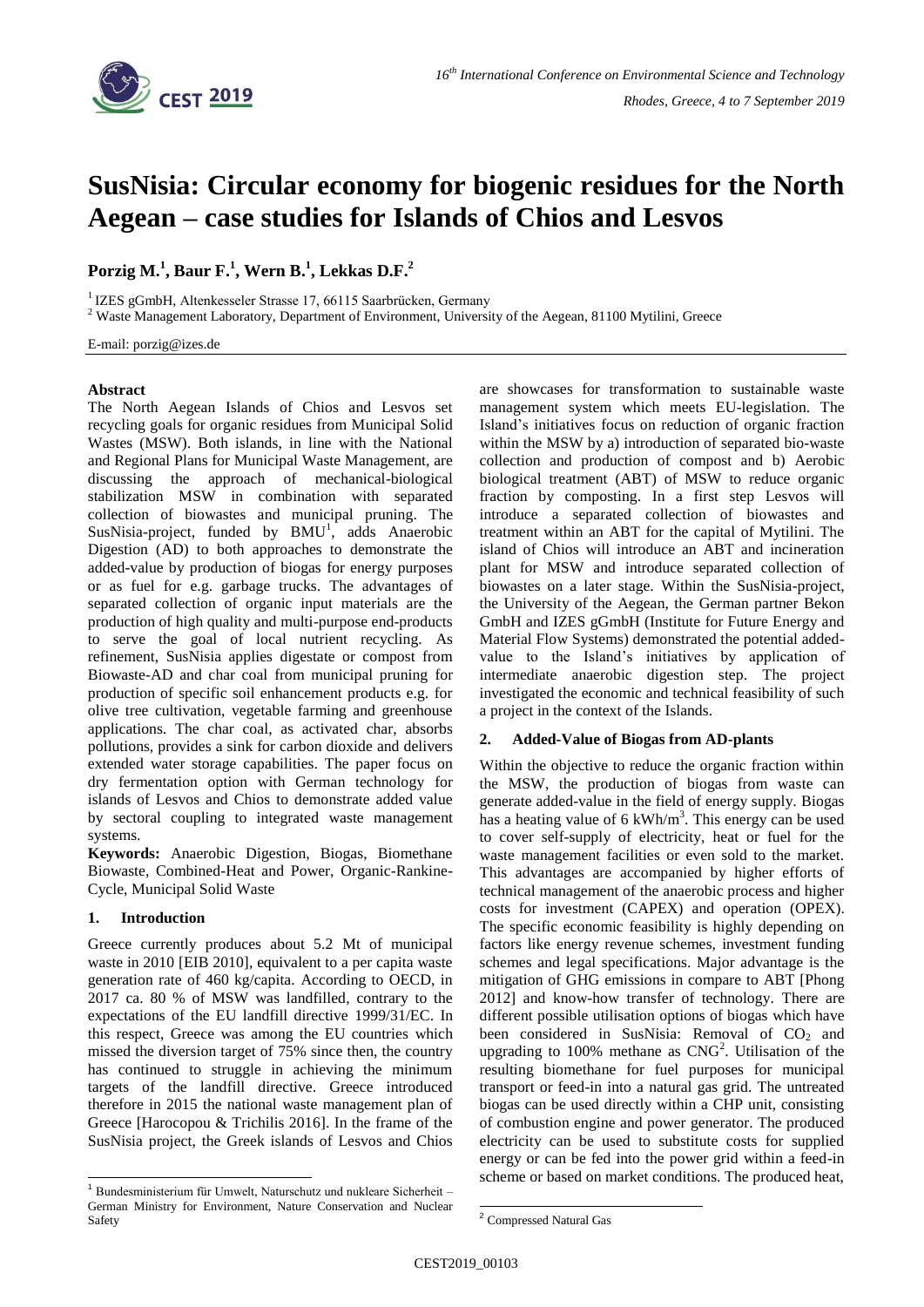

# **SusNisia: Circular economy for biogenic residues for the North Aegean – case studies for Islands of Chios and Lesvos**

**Porzig M.<sup>1</sup> , Baur F.<sup>1</sup> , Wern B. 1 , Lekkas D.F.<sup>2</sup>**

<sup>1</sup> IZES gGmbH, Altenkesseler Strasse 17, 66115 Saarbrücken, Germany

<sup>2</sup> Waste Management Laboratory, Department of Environment, University of the Aegean, 81100 Mytilini, Greece

E-mail: porzig@izes.de

### **Abstract**

The North Aegean Islands of Chios and Lesvos set recycling goals for organic residues from Municipal Solid Wastes (MSW). Both islands, in line with the National and Regional Plans for Municipal Waste Management, are discussing the approach of mechanical-biological stabilization MSW in combination with separated collection of biowastes and municipal pruning. The SusNisia-project, funded by  $BMU<sup>1</sup>$ , adds Anaerobic Digestion (AD) to both approaches to demonstrate the added-value by production of biogas for energy purposes or as fuel for e.g. garbage trucks. The advantages of separated collection of organic input materials are the production of high quality and multi-purpose end-products to serve the goal of local nutrient recycling. As refinement, SusNisia applies digestate or compost from Biowaste-AD and char coal from municipal pruning for production of specific soil enhancement products e.g. for olive tree cultivation, vegetable farming and greenhouse applications. The char coal, as activated char, absorbs pollutions, provides a sink for carbon dioxide and delivers extended water storage capabilities. The paper focus on dry fermentation option with German technology for islands of Lesvos and Chios to demonstrate added value by sectoral coupling to integrated waste management systems.

**Keywords:** Anaerobic Digestion, Biogas, Biomethane Biowaste, Combined-Heat and Power, Organic-Rankine-Cycle, Municipal Solid Waste

# **1. Introduction**

1

Greece currently produces about 5.2 Mt of municipal waste in 2010 [EIB 2010], equivalent to a per capita waste generation rate of 460 kg/capita. According to OECD, in 2017 ca. 80 % of MSW was landfilled, contrary to the expectations of the EU landfill directive 1999/31/EC. In this respect, Greece was among the EU countries which missed the diversion target of 75% since then, the country has continued to struggle in achieving the minimum targets of the landfill directive. Greece introduced therefore in 2015 the national waste management plan of Greece [Harocopou & Trichilis 2016]. In the frame of the SusNisia project, the Greek islands of Lesvos and Chios

are showcases for transformation to sustainable waste management system which meets EU-legislation. The Island's initiatives focus on reduction of organic fraction within the MSW by a) introduction of separated bio-waste collection and production of compost and b) Aerobic biological treatment (ABT) of MSW to reduce organic fraction by composting. In a first step Lesvos will introduce a separated collection of biowastes and treatment within an ABT for the capital of Mytilini. The island of Chios will introduce an ABT and incineration plant for MSW and introduce separated collection of biowastes on a later stage. Within the SusNisia-project, the University of the Aegean, the German partner Bekon GmbH and IZES gGmbH (Institute for Future Energy and Material Flow Systems) demonstrated the potential addedvalue to the Island's initiatives by application of intermediate anaerobic digestion step. The project investigated the economic and technical feasibility of such a project in the context of the Islands.

# **2. Added-Value of Biogas from AD-plants**

Within the objective to reduce the organic fraction within the MSW, the production of biogas from waste can generate added-value in the field of energy supply. Biogas has a heating value of  $6 \text{ kWh/m}^3$ . This energy can be used to cover self-supply of electricity, heat or fuel for the waste management facilities or even sold to the market. This advantages are accompanied by higher efforts of technical management of the anaerobic process and higher costs for investment (CAPEX) and operation (OPEX). The specific economic feasibility is highly depending on factors like energy revenue schemes, investment funding schemes and legal specifications. Major advantage is the mitigation of GHG emissions in compare to ABT [Phong 2012] and know-how transfer of technology. There are different possible utilisation options of biogas which have been considered in SusNisia: Removal of  $CO<sub>2</sub>$  and upgrading to 100% methane as  $CNG<sup>2</sup>$ . Utilisation of the resulting biomethane for fuel purposes for municipal transport or feed-in into a natural gas grid. The untreated biogas can be used directly within a CHP unit, consisting of combustion engine and power generator. The produced electricity can be used to substitute costs for supplied energy or can be fed into the power grid within a feed-in scheme or based on market conditions. The produced heat,

<sup>1</sup> Bundesministerium für Umwelt, Naturschutz und nukleare Sicherheit – German Ministry for Environment, Nature Conservation and Nuclear Safety

<sup>-</sup><sup>2</sup> Compressed Natural Gas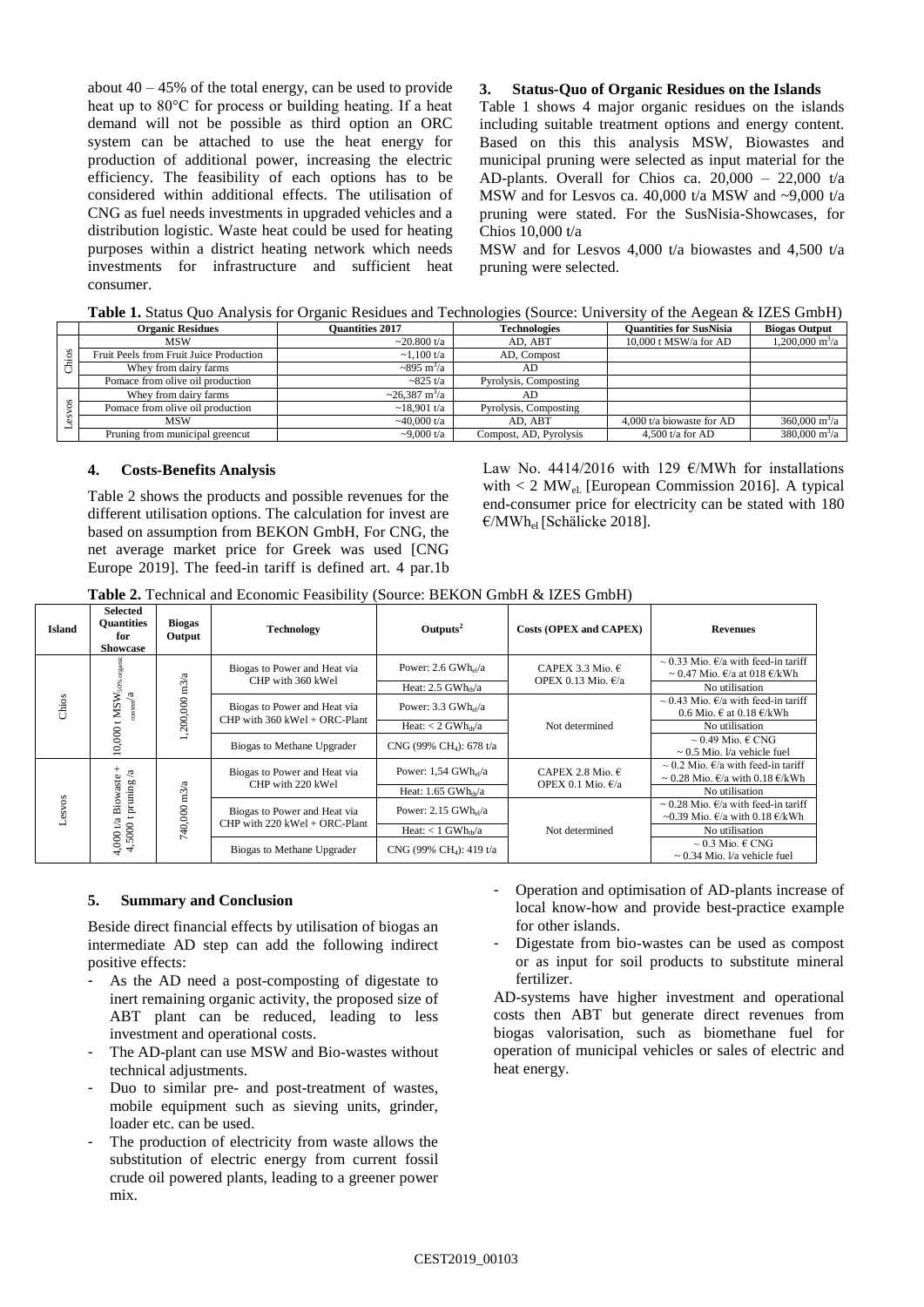about  $40 - 45\%$  of the total energy, can be used to provide heat up to 80°C for process or building heating. If a heat demand will not be possible as third option an ORC system can be attached to use the heat energy for production of additional power, increasing the electric efficiency. The feasibility of each options has to be considered within additional effects. The utilisation of CNG as fuel needs investments in upgraded vehicles and a distribution logistic. Waste heat could be used for heating purposes within a district heating network which needs investments for infrastructure and sufficient heat consumer.

## **3. Status-Quo of Organic Residues on the Islands**

[Table 1](#page-1-0) shows 4 major organic residues on the islands including suitable treatment options and energy content. Based on this this analysis MSW, Biowastes and municipal pruning were selected as input material for the AD-plants. Overall for Chios ca.  $20,000 - 22,000$  t/a MSW and for Lesvos ca. 40,000 t/a MSW and ~9,000 t/a pruning were stated. For the SusNisia-Showcases, for Chios 10,000 t/a

MSW and for Lesvos 4,000 t/a biowastes and 4,500 t/a pruning were selected.

<span id="page-1-0"></span>

|  |  | Table 1. Status Quo Analysis for Organic Residues and Technologies (Source: University of the Aegean & IZES GmbH) |
|--|--|-------------------------------------------------------------------------------------------------------------------|
|  |  |                                                                                                                   |

|   | <b>Organic Residues</b>                 | <b>Ouantities 2017</b>          | <b>Technologies</b>    | <b>Ouantities for SusNisia</b> | <b>Biogas Output</b>             |
|---|-----------------------------------------|---------------------------------|------------------------|--------------------------------|----------------------------------|
|   | <b>MSW</b>                              | $\approx 20.800 \text{ t/a}$    | AD. ABT                | $10,000$ t MSW/a for AD        | $1.200,000 \text{ m}^3/\text{a}$ |
| s | Fruit Peels from Fruit Juice Production | $\sim$ 1.100 t/a                | AD. Compost            |                                |                                  |
|   | Whey from dairy farms                   | $\sim 895 \text{ m}^3/\text{a}$ | AD                     |                                |                                  |
|   | Pomace from olive oil production        | $-825 t/a$                      | Pyrolysis, Composting  |                                |                                  |
|   | Whey from dairy farms                   | $\sim$ 26.387 m <sup>3</sup> /a | AD                     |                                |                                  |
|   | Pomace from olive oil production        | $\sim$ 18.901 t/a               | Pyrolysis, Composting  |                                |                                  |
|   | <b>MSW</b>                              | $-40,000$ t/a                   | AD. ABT                | 4,000 t/a biowaste for $AD$    | $360,000 \text{ m}^3/\text{a}$   |
|   | Pruning from municipal greencut         | $-9,000 t/a$                    | Compost, AD, Pyrolysis | 4.500 $t/a$ for AD             | $380,000 \text{ m}^3/\text{a}$   |

#### **4. Costs-Benefits Analysis**

[Table 2](#page-1-1) shows the products and possible revenues for the different utilisation options. The calculation for invest are based on assumption from BEKON GmbH, For CNG, the net average market price for Greek was used [CNG Europe 2019]. The feed-in tariff is defined art. 4 par.1b Law No. 4414/2016 with 129  $\epsilon$ /MWh for installations with  $< 2$  MW<sub>el.</sub> [European Commission 2016]. A typical end-consumer price for electricity can be stated with 180  $\epsilon$ /MWh<sub>el</sub> [Schälicke 2018].

<span id="page-1-1"></span>

| <b>Table 2.</b> Technical and Economic Feasibility (Source: BEKON GmbH & IZES GmbH) |  |
|-------------------------------------------------------------------------------------|--|
|-------------------------------------------------------------------------------------|--|

| <b>Island</b>                                                                                                                                                                                                                  | <b>Selected</b><br><b>Ouantities</b><br>for<br><b>Showcase</b> | <b>Biogas</b><br>Output | <b>Technology</b>                                               | $\text{Outputs}^2$                                              | Costs (OPEX and CAPEX)                              | <b>Revenues</b>                                                                                            |
|--------------------------------------------------------------------------------------------------------------------------------------------------------------------------------------------------------------------------------|----------------------------------------------------------------|-------------------------|-----------------------------------------------------------------|-----------------------------------------------------------------|-----------------------------------------------------|------------------------------------------------------------------------------------------------------------|
| Biogas to Power and Heat via<br>1,200,000 m3/a<br>CHP with 360 kWel<br>50%<br>$_{\rm outer}/\rm{a}$<br>MSW<br>Chios<br>Biogas to Power and Heat via<br>CHP with $360$ kWel + ORC-Plant<br>10,000<br>Biogas to Methane Upgrader |                                                                |                         |                                                                 | Power: $2.6$ GWh <sub>el</sub> /a                               | CAPEX 3.3 Mio. $\in$<br>OPEX 0.13 Mio. $\epsilon/a$ | $\sim$ 0.33 Mio. $\epsilon/a$ with feed-in tariff<br>$\sim 0.47$ Mio. $\epsilon/a$ at 018 $\epsilon/kWh$   |
|                                                                                                                                                                                                                                | Heat: $2.5$ GWh <sub>th</sub> /a                               |                         | No utilisation                                                  |                                                                 |                                                     |                                                                                                            |
|                                                                                                                                                                                                                                |                                                                |                         |                                                                 | Power: $3.3 \text{ GWh}_{\text{el}}/a$                          | Not determined                                      | $\sim$ 0.43 Mio. $f/a$ with feed-in tariff<br>0.6 Mio. $\in$ at 0.18 $\in$ /kWh                            |
|                                                                                                                                                                                                                                |                                                                |                         |                                                                 | Heat: $< 2$ GWh <sub>th</sub> /a                                |                                                     | No utilisation                                                                                             |
|                                                                                                                                                                                                                                |                                                                |                         |                                                                 | CNG (99% CH <sub>1</sub> ): 678 t/a                             |                                                     | $\sim 0.49$ Mio. $\in$ CNG<br>$\sim$ 0.5 Mio. $1/a$ vehicle fuel                                           |
|                                                                                                                                                                                                                                | La                                                             |                         | Biogas to Power and Heat via                                    | Power: $1,54$ GWh <sub>el</sub> /a                              | CAPEX 2.8 Mio. $\in$                                | $\sim$ 0.2 Mio. $\epsilon/a$ with feed-in tariff<br>$\sim 0.28$ Mio. $\epsilon/a$ with 0.18 $\epsilon/kWh$ |
|                                                                                                                                                                                                                                |                                                                |                         | CHP with 220 kWel                                               | OPEX 0.1 Mio. $\epsilon/a$<br>Heat: $1.65$ GWh <sub>tb</sub> /a | No utilisation                                      |                                                                                                            |
| Lesvos                                                                                                                                                                                                                         | Biowaste<br>pruning<br>4,000 t/a ]<br>4,5000 t                 | 740,000 m3/a            | Biogas to Power and Heat via<br>CHP with $220$ kWel + ORC-Plant | Power: $2.15$ GWh $_{el}/a$                                     | Not determined                                      | ~ 0.28 Mio. $\epsilon/a$ with feed-in tariff<br>~0.39 Mio. $\epsilon/a$ with 0.18 $\epsilon/kWh$           |
|                                                                                                                                                                                                                                |                                                                |                         |                                                                 | Heat: $< 1$ GWh <sub>th</sub> /a                                |                                                     | No utilisation                                                                                             |
|                                                                                                                                                                                                                                |                                                                |                         |                                                                 | Biogas to Methane Upgrader                                      | CNG (99% CH <sub>4</sub> ): 419 t/a                 |                                                                                                            |

#### **5. Summary and Conclusion**

Beside direct financial effects by utilisation of biogas an intermediate AD step can add the following indirect positive effects:

- As the AD need a post-composting of digestate to inert remaining organic activity, the proposed size of ABT plant can be reduced, leading to less investment and operational costs.
- The AD-plant can use MSW and Bio-wastes without technical adjustments.
- Duo to similar pre- and post-treatment of wastes, mobile equipment such as sieving units, grinder, loader etc. can be used.
- The production of electricity from waste allows the substitution of electric energy from current fossil crude oil powered plants, leading to a greener power mix.
- Operation and optimisation of AD-plants increase of local know-how and provide best-practice example for other islands.
- Digestate from bio-wastes can be used as compost or as input for soil products to substitute mineral fertilizer.

AD-systems have higher investment and operational costs then ABT but generate direct revenues from biogas valorisation, such as biomethane fuel for operation of municipal vehicles or sales of electric and heat energy.